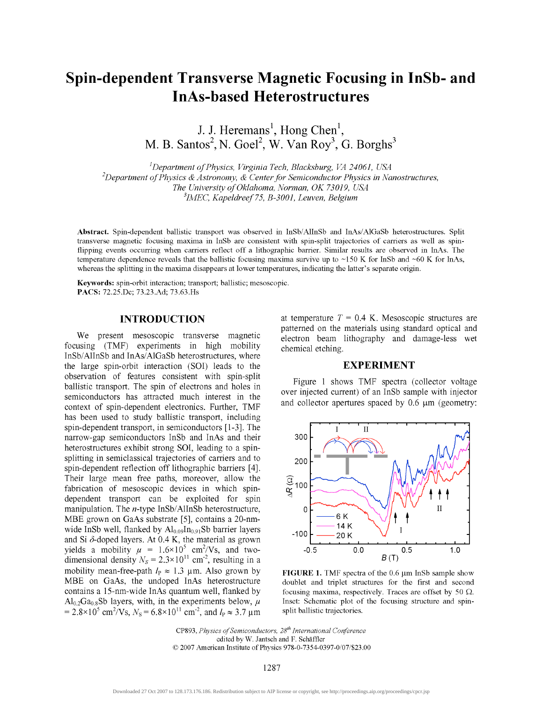# Spin-dependent Transverse Magnetic Focusing in InSb- and InAs-based Heterostructures

J. J. Heremans<sup>1</sup>, Hong Chen<sup>1</sup>, M. B. Santos<sup>2</sup>, N. Goel<sup>2</sup>, W. Van Roy<sup>3</sup>, G. Borghs<sup>3</sup>

*'Department of Physics, Virginia Tech, Blacksburg, VA 24061, USA <sup>2</sup>Department of Physics & Astronomy, & Center for Semiconductor Physics in Nanostructures, The University of Oklahoma, Norman, OK 73019, USA 3 IMEC, Kapeldreef75, B-3001, Leuven, Belgium* 

**Abstract.** Spin-dependent ballistic transport was observed in InSb/AUnSb and InAs/AlGaSb heterostructures. Split transverse magnetic focusing maxima in InSb are consistent with spin-split trajectories of carriers as well as spinflipping events occurring when carriers reflect off a lithographic barrier. Similar results are observed in InAs. The temperature dependence reveals that the ballistic focusing maxima survive up to  $\sim$ 150 K for InSb and  $\sim$ 60 K for InAs, whereas the splitting in the maxima disappears at lower temperatures, indicating the latter's separate origin.

**Keywords:** spin-orbit interaction; transport; ballistic; mesoscopic. **PACS:** 72.25.Dc; 73.23.Ad; 73.63.Hs

## INTRODUCTION

We present mesoscopic transverse magnetic focusing (TMF) experiments in high mobility InSb/AUnSb and InAs/AlGaSb heterostructures, where the large spin-orbit interaction (SOI) leads to the observation of features consistent with spin-split ballistic transport. The spin of electrons and holes in semiconductors has attracted much interest in the context of spin-dependent electronics. Further, TMF has been used to study ballistic transport, including spin-dependent transport, in semiconductors [1-3]. The narrow-gap semiconductors InSb and InAs and their heterostructures exhibit strong SOI, leading to a spinsplitting in semiclassical trajectories of carriers and to spin-dependent reflection off lithographic barriers [4]. Their large mean free paths, moreover, allow the fabrication of mesoscopic devices in which spindependent transport can be exploited for spin manipulation. The  $n$ -type InSb/AlInSb heterostructure, MBE grown on GaAs substrate [5], contains a 20-nmwide InSb well, flanked by  $Al_{0.09}$ In<sub>0.91</sub>Sb barrier layers and Si  $\delta$ -doped layers. At 0.4 K, the material as grown yields a mobility  $\mu = 1.6 \times 10^5$  cm<sup>2</sup>/Vs, and twodimensional density  $N_s = 2.3 \times 10^{11}$  cm<sup>-2</sup>, resulting in a mobility mean-free-path  $l_P \approx 1.3 \mu$ m. Also grown by MBE on GaAs, the undoped InAs heterostructure contains a 15-nm-wide InAs quantum well, flanked by  $\text{Al}_{0.2}\text{Ga}_{0.8}\text{Sb}$  layers, with, in the experiments below,  $\mu$ = 2.8×10<sup>5</sup> cm<sup>2</sup>/Vs,  $N_s$  = 6.8×10<sup>11</sup> cm<sup>-2</sup>, and  $I_p \approx 3.7 \mu m$  at temperature  $T = 0.4$  K. Mesoscopic structures are patterned on the materials using standard optical and electron beam lithography and damage-less wet chemical etching.

## EXPERIMENT

Figure 1 shows TMF spectra (collector voltage over injected current) of an InSb sample with injector and collector apertures spaced by  $0.6 \mu m$  (geometry:



**FIGURE 1.** TMF spectra of the 0.6  $\mu$ m InSb sample show doublet and triplet structures for the first and second focusing maxima, respectively. Traces are offset by 50  $\Omega$ . Inset: Schematic plot of the focusing structure and spinsplit ballistic trajectories.

CP893, Physics of Semiconductors, 28<sup>th</sup> International Conference edited by W. Jantsch and F. Schaffler © 2007 American Institute of Physics 978-0-7354-0397-0/07/\$23.00